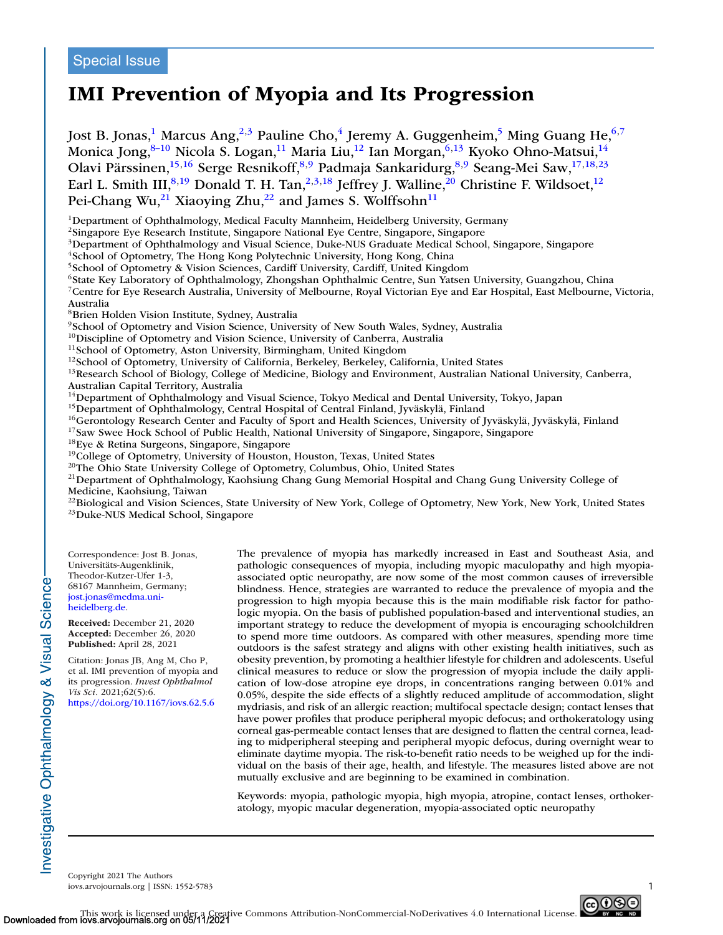## Special Issue

# **IMI Prevention of Myopia and Its Progression**

Jost B. Jonas,<sup>1</sup> Marcus Ang,<sup>2,3</sup> Pauline Cho,<sup>4</sup> Jeremy A. Guggenheim,<sup>5</sup> Ming Guang He,<sup>6,7</sup> Monica Jong, 8-10 Nicola S. Logan, 11 Maria Liu, <sup>12</sup> Ian Morgan, <sup>6,13</sup> Kyoko Ohno-Matsui, <sup>14</sup> Olavi Pärssinen,<sup>15,16</sup> Serge Resnikoff,<sup>8,9</sup> Padmaja Sankaridurg,<sup>8,9</sup> Seang-Mei Saw,<sup>17,18,23</sup> Earl L. Smith III,<sup>8,19</sup> Donald T. H. Tan,<sup>2,3,18</sup> Jeffrey J. Walline,<sup>20</sup> Christine F. Wildsoet,<sup>12</sup> Pei-Chang Wu,<sup>21</sup> Xiaoying Zhu,<sup>22</sup> and James S. Wolffsohn<sup>11</sup>

<sup>1</sup>Department of Ophthalmology, Medical Faculty Mannheim, Heidelberg University, Germany

2Singapore Eye Research Institute, Singapore National Eye Centre, Singapore, Singapore

<sup>3</sup>Department of Ophthalmology and Visual Science, Duke-NUS Graduate Medical School, Singapore, Singapore

4School of Optometry, The Hong Kong Polytechnic University, Hong Kong, China

<sup>5</sup>School of Optometry & Vision Sciences, Cardiff University, Cardiff, United Kingdom

<sup>6</sup>State Key Laboratory of Ophthalmology, Zhongshan Ophthalmic Centre, Sun Yatsen University, Guangzhou, China

7Centre for Eye Research Australia, University of Melbourne, Royal Victorian Eye and Ear Hospital, East Melbourne, Victoria, Australia

8Brien Holden Vision Institute, Sydney, Australia

 $9$ School of Optometry and Vision Science, University of New South Wales, Sydney, Australia  $^{10}$ Discipline of Optometry and Vision Science, University of Canberra, Australia

<sup>11</sup>School of Optometry, Aston University, Birmingham, United Kingdom<br><sup>12</sup>School of Optometry, University of California, Berkeley, Berkeley, California, United States<br><sup>13</sup>Research School of Biology, College of Medicine, B Australian Capital Territory, Australia

<sup>14</sup>Department of Ophthalmology and Visual Science, Tokyo Medical and Dental University, Tokyo, Japan

<sup>15</sup>Department of Ophthalmology, Central Hospital of Central Finland, Jyväskylä, Finland

<sup>16</sup>Gerontology Research Center and Faculty of Sport and Health Sciences, University of Jyväskylä, Jyväskylä, Finland

<sup>17</sup>Saw Swee Hock School of Public Health, National University of Singapore, Singapore, Singapore

18Eye & Retina Surgeons, Singapore, Singapore

<sup>19</sup>College of Optometry, University of Houston, Houston, Texas, United States

<sup>20</sup>The Ohio State University College of Optometry, Columbus, Ohio, United States

21Department of Ophthalmology, Kaohsiung Chang Gung Memorial Hospital and Chang Gung University College of Medicine, Kaohsiung, Taiwan

 $^{22}$ Biological and Vision Sciences, State University of New York, College of Optometry, New York, New York, United States  $^{23}$ Duke-NUS Medical School, Singapore

Correspondence: Jost B. Jonas, Universitäts-Augenklinik, Theodor-Kutzer-Ufer 1-3, 68167 Mannheim, Germany; [jost.jonas@medma.uni](mailto:jost.jonas@medma.uni-heidelberg.de)heidelberg.de.

**Received:** December 21, 2020 **Accepted:** December 26, 2020 **Published:** April 28, 2021

Citation: Jonas JB, Ang M, Cho P, et al. IMI prevention of myopia and its progression. *Invest Ophthalmol Vis Sci.* 2021;62(5):6. <https://doi.org/10.1167/iovs.62.5.6>

The prevalence of myopia has markedly increased in East and Southeast Asia, and pathologic consequences of myopia, including myopic maculopathy and high myopiaassociated optic neuropathy, are now some of the most common causes of irreversible blindness. Hence, strategies are warranted to reduce the prevalence of myopia and the progression to high myopia because this is the main modifiable risk factor for pathologic myopia. On the basis of published population-based and interventional studies, an important strategy to reduce the development of myopia is encouraging schoolchildren to spend more time outdoors. As compared with other measures, spending more time outdoors is the safest strategy and aligns with other existing health initiatives, such as obesity prevention, by promoting a healthier lifestyle for children and adolescents. Useful clinical measures to reduce or slow the progression of myopia include the daily application of low-dose atropine eye drops, in concentrations ranging between 0.01% and 0.05%, despite the side effects of a slightly reduced amplitude of accommodation, slight mydriasis, and risk of an allergic reaction; multifocal spectacle design; contact lenses that have power profiles that produce peripheral myopic defocus; and orthokeratology using corneal gas-permeable contact lenses that are designed to flatten the central cornea, leading to midperipheral steeping and peripheral myopic defocus, during overnight wear to eliminate daytime myopia. The risk-to-benefit ratio needs to be weighed up for the individual on the basis of their age, health, and lifestyle. The measures listed above are not mutually exclusive and are beginning to be examined in combination.

Keywords: myopia, pathologic myopia, high myopia, atropine, contact lenses, orthokeratology, myopic macular degeneration, myopia-associated optic neuropathy

Copyright 2021 The Authors iovs.arvojournals.org | ISSN: 1552-5783 1

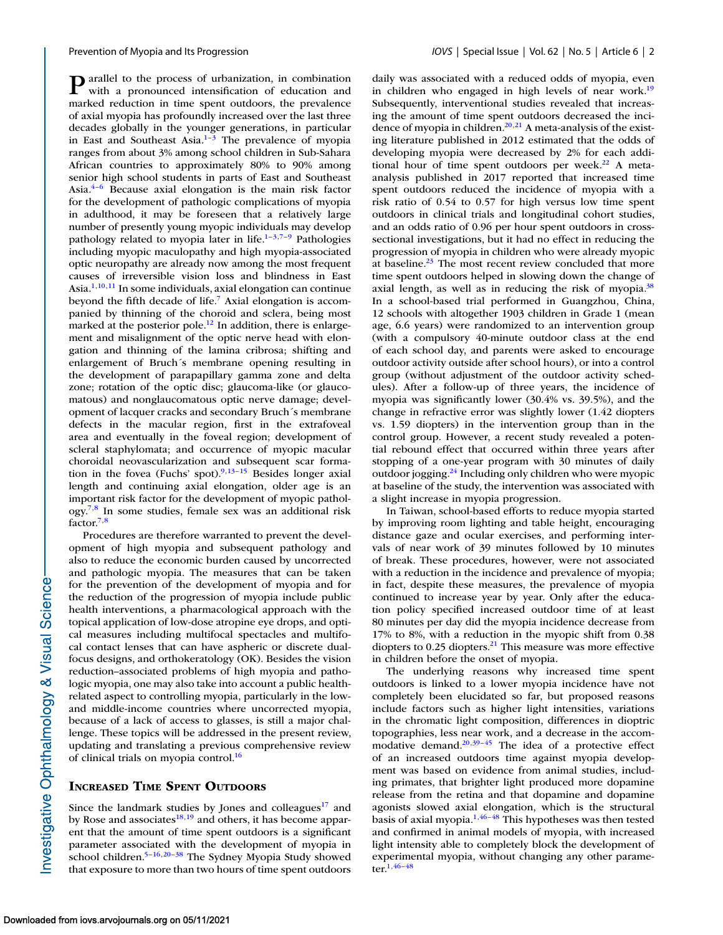$\mathbf{P}$  arallel to the process of urbanization, in combination with a pronounced intensification of education and marked reduction in time spent outdoors, the prevalence of axial myopia has profoundly increased over the last three decades globally in the younger generations, in particular in East and Southeast Asia. $1-3$  The prevalence of myopia ranges from about 3% among school children in Sub-Sahara African countries to approximately 80% to 90% among senior high school students in parts of East and Southeast Asia. $4-6$  Because axial elongation is the main risk factor for the development of pathologic complications of myopia in adulthood, it may be foreseen that a relatively large number of presently young myopic individuals may develop pathology related to myopia later in life. $1-3,7-9$  $1-3,7-9$  Pathologies including myopic maculopathy and high myopia-associated optic neuropathy are already now among the most frequent causes of irreversible vision loss and blindness in East Asia. $1,10,11$  $1,10,11$  In some individuals, axial elongation can continue beyond the fifth decade of life[.7](#page-5-0) Axial elongation is accompanied by thinning of the choroid and sclera, being most marked at the posterior pole.<sup>12</sup> In addition, there is enlargement and misalignment of the optic nerve head with elongation and thinning of the lamina cribrosa; shifting and enlargement of Bruch´s membrane opening resulting in the development of parapapillary gamma zone and delta zone; rotation of the optic disc; glaucoma-like (or glaucomatous) and nonglaucomatous optic nerve damage; development of lacquer cracks and secondary Bruch´s membrane defects in the macular region, first in the extrafoveal area and eventually in the foveal region; development of scleral staphylomata; and occurrence of myopic macular choroidal neovascularization and subsequent scar formation in the fovea (Fuchs' spot). $9,13-15$  Besides longer axial length and continuing axial elongation, older age is an important risk factor for the development of myopic pathol $ogy<sup>7,8</sup>$  In some studies, female sex was an additional risk factor[.7,8](#page-5-0)

Procedures are therefore warranted to prevent the development of high myopia and subsequent pathology and also to reduce the economic burden caused by uncorrected and pathologic myopia. The measures that can be taken for the prevention of the development of myopia and for the reduction of the progression of myopia include public health interventions, a pharmacological approach with the topical application of low-dose atropine eye drops, and optical measures including multifocal spectacles and multifocal contact lenses that can have aspheric or discrete dualfocus designs, and orthokeratology (OK). Besides the vision reduction–associated problems of high myopia and pathologic myopia, one may also take into account a public healthrelated aspect to controlling myopia, particularly in the lowand middle-income countries where uncorrected myopia, because of a lack of access to glasses, is still a major challenge. These topics will be addressed in the present review, updating and translating a previous comprehensive review of clinical trials on myopia control.<sup>16</sup>

## **INCREASED TIME SPENT OUTDOORS**

Since the landmark studies by Jones and colleagues $17$  and by Rose and associates $^{18,19}$  and others, it has become apparent that the amount of time spent outdoors is a significant parameter associated with the development of myopia in school children.<sup>5–[16,20–38](#page-6-0)</sup> The Sydney Myopia Study showed that exposure to more than two hours of time spent outdoors

daily was associated with a reduced odds of myopia, even in children who engaged in high levels of near work.<sup>19</sup> Subsequently, interventional studies revealed that increasing the amount of time spent outdoors decreased the incidence of myopia in children.<sup>20,21</sup> A meta-analysis of the existing literature published in 2012 estimated that the odds of developing myopia were decreased by 2% for each additional hour of time spent outdoors per week.<sup>22</sup> A metaanalysis published in 2017 reported that increased time spent outdoors reduced the incidence of myopia with a risk ratio of 0.54 to 0.57 for high versus low time spent outdoors in clinical trials and longitudinal cohort studies, and an odds ratio of 0.96 per hour spent outdoors in crosssectional investigations, but it had no effect in reducing the progression of myopia in children who were already myopic at baseline. $23$  The most recent review concluded that more time spent outdoors helped in slowing down the change of axial length, as well as in reducing the risk of myopia.<sup>38</sup> In a school-based trial performed in Guangzhou, China, 12 schools with altogether 1903 children in Grade 1 (mean age, 6.6 years) were randomized to an intervention group (with a compulsory 40-minute outdoor class at the end of each school day, and parents were asked to encourage outdoor activity outside after school hours), or into a control group (without adjustment of the outdoor activity schedules). After a follow-up of three years, the incidence of myopia was significantly lower (30.4% vs. 39.5%), and the change in refractive error was slightly lower (1.42 diopters vs. 1.59 diopters) in the intervention group than in the control group. However, a recent study revealed a potential rebound effect that occurred within three years after stopping of a one-year program with 30 minutes of daily outdoor jogging.<sup>24</sup> Including only children who were myopic at baseline of the study, the intervention was associated with a slight increase in myopia progression.

In Taiwan, school-based efforts to reduce myopia started by improving room lighting and table height, encouraging distance gaze and ocular exercises, and performing intervals of near work of 39 minutes followed by 10 minutes of break. These procedures, however, were not associated with a reduction in the incidence and prevalence of myopia; in fact, despite these measures, the prevalence of myopia continued to increase year by year. Only after the education policy specified increased outdoor time of at least 80 minutes per day did the myopia incidence decrease from 17% to 8%, with a reduction in the myopic shift from 0.38 diopters to  $0.25$  diopters.<sup>21</sup> This measure was more effective in children before the onset of myopia.

The underlying reasons why increased time spent outdoors is linked to a lower myopia incidence have not completely been elucidated so far, but proposed reasons include factors such as higher light intensities, variations in the chromatic light composition, differences in dioptric topographies, less near work, and a decrease in the accommodative demand[.20,39–45](#page-6-0) The idea of a protective effect of an increased outdoors time against myopia development was based on evidence from animal studies, including primates, that brighter light produced more dopamine release from the retina and that dopamine and dopamine agonists slowed axial elongation, which is the structural basis of axial myopia. $1,46-48$  This hypotheses was then tested and confirmed in animal models of myopia, with increased light intensity able to completely block the development of experimental myopia, without changing any other parameter[.1](#page-5-0)[,46–48](#page-6-0)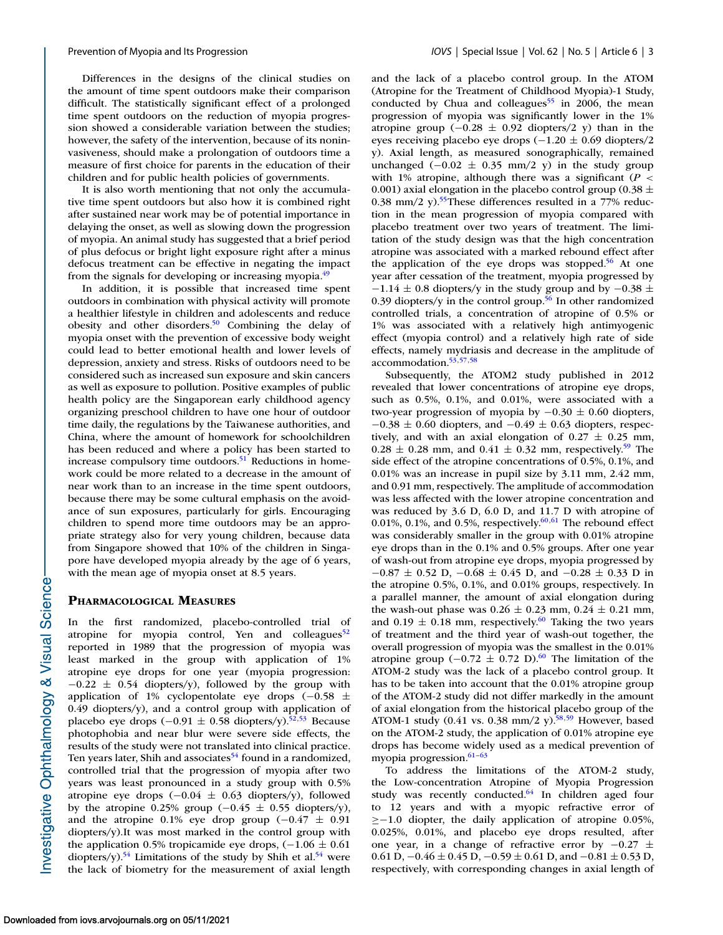Differences in the designs of the clinical studies on the amount of time spent outdoors make their comparison difficult. The statistically significant effect of a prolonged time spent outdoors on the reduction of myopia progression showed a considerable variation between the studies; however, the safety of the intervention, because of its noninvasiveness, should make a prolongation of outdoors time a measure of first choice for parents in the education of their children and for public health policies of governments.

It is also worth mentioning that not only the accumulative time spent outdoors but also how it is combined right after sustained near work may be of potential importance in delaying the onset, as well as slowing down the progression of myopia. An animal study has suggested that a brief period of plus defocus or bright light exposure right after a minus defocus treatment can be effective in negating the impact from the signals for developing or increasing myopia.<sup>49</sup>

In addition, it is possible that increased time spent outdoors in combination with physical activity will promote a healthier lifestyle in children and adolescents and reduce obesity and other disorders. $50$  Combining the delay of myopia onset with the prevention of excessive body weight could lead to better emotional health and lower levels of depression, anxiety and stress. Risks of outdoors need to be considered such as increased sun exposure and skin cancers as well as exposure to pollution. Positive examples of public health policy are the Singaporean early childhood agency organizing preschool children to have one hour of outdoor time daily, the regulations by the Taiwanese authorities, and China, where the amount of homework for schoolchildren has been reduced and where a policy has been started to increase compulsory time outdoors.<sup>51</sup> Reductions in homework could be more related to a decrease in the amount of near work than to an increase in the time spent outdoors, because there may be some cultural emphasis on the avoidance of sun exposures, particularly for girls. Encouraging children to spend more time outdoors may be an appropriate strategy also for very young children, because data from Singapore showed that 10% of the children in Singapore have developed myopia already by the age of 6 years, with the mean age of myopia onset at 8.5 years.

## **PHARMACOLOGICAL MEASURES**

In the first randomized, placebo-controlled trial of atropine for myopia control, Yen and colleagues<sup>52</sup> reported in 1989 that the progression of myopia was least marked in the group with application of 1% atropine eye drops for one year (myopia progression:  $-0.22 \pm 0.54$  diopters/y), followed by the group with application of 1% cyclopentolate eye drops (−0.58 ± 0.49 diopters/y), and a control group with application of placebo eye drops (−0.91  $\pm$  0.58 diopters/y).<sup>52,53</sup> Because photophobia and near blur were severe side effects, the results of the study were not translated into clinical practice. Ten years later, Shih and associates<sup>54</sup> found in a randomized, controlled trial that the progression of myopia after two years was least pronounced in a study group with 0.5% atropine eye drops  $(-0.04 \pm 0.63 \text{ diopters/v})$ , followed by the atropine 0.25% group  $(-0.45 \pm 0.55 \text{ diopters/v})$ , and the atropine 0.1% eye drop group  $(-0.47 \pm 0.91)$ diopters/y).It was most marked in the control group with the application 0.5% tropicamide eye drops,  $(-1.06 \pm 0.61)$ diopters/y).<sup>54</sup> Limitations of the study by Shih et al.<sup>54</sup> were the lack of biometry for the measurement of axial length and the lack of a placebo control group. In the ATOM (Atropine for the Treatment of Childhood Myopia)-1 Study, conducted by Chua and colleagues<sup>55</sup> in 2006, the mean progression of myopia was significantly lower in the 1% atropine group  $(-0.28 \pm 0.92)$  diopters/2 y) than in the eyes receiving placebo eye drops (−1.20 ± 0.69 diopters/2 y). Axial length, as measured sonographically, remained unchanged  $(-0.02 \pm 0.35 \text{ mm}/2 \text{ y})$  in the study group with 1% atropine, although there was a significant  $(P \leq$ 0.001) axial elongation in the placebo control group (0.38  $\pm$ 0.38 mm/2 y).<sup>55</sup>These differences resulted in a 77% reduction in the mean progression of myopia compared with placebo treatment over two years of treatment. The limitation of the study design was that the high concentration atropine was associated with a marked rebound effect after the application of the eye drops was stopped.<sup>56</sup> At one year after cessation of the treatment, myopia progressed by  $-1.14 \pm 0.8$  diopters/y in the study group and by  $-0.38 \pm 0.8$ 0.39 diopters/y in the control group.<sup>56</sup> In other randomized controlled trials, a concentration of atropine of 0.5% or 1% was associated with a relatively high antimyogenic effect (myopia control) and a relatively high rate of side effects, namely mydriasis and decrease in the amplitude of accommodation[.53,57,58](#page-7-0)

Subsequently, the ATOM2 study published in 2012 revealed that lower concentrations of atropine eye drops, such as 0.5%, 0.1%, and 0.01%, were associated with a two-year progression of myopia by  $-0.30 \pm 0.60$  diopters,  $-0.38 \pm 0.60$  diopters, and  $-0.49 \pm 0.63$  diopters, respectively, and with an axial elongation of  $0.27 \pm 0.25$  mm,  $0.28 \pm 0.28$  mm, and  $0.41 \pm 0.32$  mm, respectively.<sup>59</sup> The side effect of the atropine concentrations of 0.5%, 0.1%, and 0.01% was an increase in pupil size by 3.11 mm, 2.42 mm, and 0.91 mm, respectively. The amplitude of accommodation was less affected with the lower atropine concentration and was reduced by 3.6 D, 6.0 D, and 11.7 D with atropine of 0.01%, 0.1%, and 0.5%, respectively. $60,61$  The rebound effect was considerably smaller in the group with 0.01% atropine eye drops than in the 0.1% and 0.5% groups. After one year of wash-out from atropine eye drops, myopia progressed by  $-0.87 \pm 0.52$  D,  $-0.68 \pm 0.45$  D, and  $-0.28 \pm 0.33$  D in the atropine 0.5%, 0.1%, and 0.01% groups, respectively. In a parallel manner, the amount of axial elongation during the wash-out phase was  $0.26 \pm 0.23$  mm,  $0.24 \pm 0.21$  mm, and  $0.19 \pm 0.18$  mm, respectively.<sup>60</sup> Taking the two years of treatment and the third year of wash-out together, the overall progression of myopia was the smallest in the 0.01% atropine group (−0.72 ± 0.72 D).<sup>60</sup> The limitation of the ATOM-2 study was the lack of a placebo control group. It has to be taken into account that the 0.01% atropine group of the ATOM-2 study did not differ markedly in the amount of axial elongation from the historical placebo group of the ATOM-1 study (0.41 vs. 0.38 mm/2 y).<sup>58,59</sup> However, based on the ATOM-2 study, the application of 0.01% atropine eye drops has become widely used as a medical prevention of myopia progression.<sup>61-63</sup>

To address the limitations of the ATOM-2 study, the Low-concentration Atropine of Myopia Progression study was recently conducted. $64$  In children aged four to 12 years and with a myopic refractive error of ≥−1.0 diopter, the daily application of atropine 0.05%, 0.025%, 0.01%, and placebo eye drops resulted, after one year, in a change of refractive error by  $-0.27 \pm 1$ 0.61 D,  $-0.46 \pm 0.45$  D,  $-0.59 \pm 0.61$  D, and  $-0.81 \pm 0.53$  D, respectively, with corresponding changes in axial length of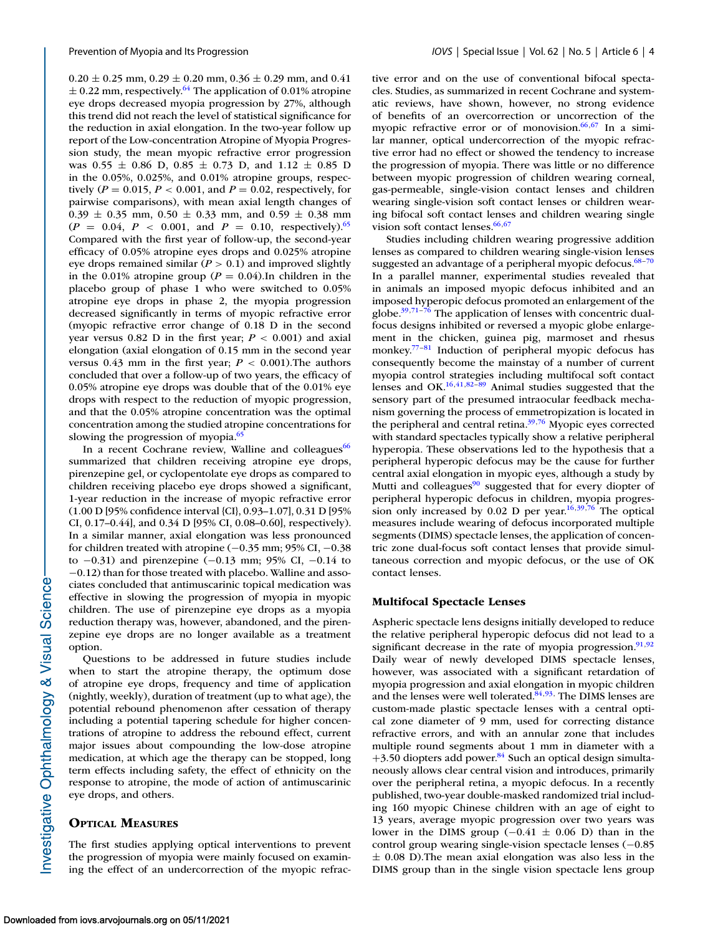$0.20 \pm 0.25$  mm,  $0.29 \pm 0.20$  mm,  $0.36 \pm 0.29$  mm, and  $0.41$  $\pm$  0.22 mm, respectively.<sup>64</sup> The application of 0.01% atropine eye drops decreased myopia progression by 27%, although this trend did not reach the level of statistical significance for the reduction in axial elongation. In the two-year follow up report of the Low-concentration Atropine of Myopia Progression study, the mean myopic refractive error progression was  $0.55 \pm 0.86$  D,  $0.85 \pm 0.73$  D, and  $1.12 \pm 0.85$  D in the 0.05%, 0.025%, and 0.01% atropine groups, respectively ( $P = 0.015$ ,  $P < 0.001$ , and  $P = 0.02$ , respectively, for pairwise comparisons), with mean axial length changes of  $0.39 \pm 0.35$  mm,  $0.50 \pm 0.33$  mm, and  $0.59 \pm 0.38$  mm  $(P = 0.04, P < 0.001, \text{ and } P = 0.10, \text{ respectively.}^{65}$ Compared with the first year of follow-up, the second-year efficacy of 0.05% atropine eyes drops and 0.025% atropine eye drops remained similar (*P* > 0.1) and improved slightly in the 0.01% atropine group ( $P = 0.04$ ). In children in the placebo group of phase 1 who were switched to 0.05% atropine eye drops in phase 2, the myopia progression decreased significantly in terms of myopic refractive error (myopic refractive error change of 0.18 D in the second year versus 0.82 D in the first year;  $P < 0.001$ ) and axial elongation (axial elongation of 0.15 mm in the second year versus  $0.43$  mm in the first year;  $P < 0.001$ ). The authors concluded that over a follow-up of two years, the efficacy of 0.05% atropine eye drops was double that of the 0.01% eye drops with respect to the reduction of myopic progression, and that the 0.05% atropine concentration was the optimal concentration among the studied atropine concentrations for slowing the progression of myopia.<sup>65</sup>

In a recent Cochrane review, Walline and colleagues<sup>66</sup> summarized that children receiving atropine eye drops, pirenzepine gel, or cyclopentolate eye drops as compared to children receiving placebo eye drops showed a significant, 1-year reduction in the increase of myopic refractive error (1.00 D [95% confidence interval {CI}, 0.93–1.07], 0.31 D [95% CI, 0.17–0.44], and 0.34 D [95% CI, 0.08–0.60], respectively). In a similar manner, axial elongation was less pronounced for children treated with atropine (−0.35 mm; 95% CI, −0.38 to  $-0.31$ ) and pirenzepine ( $-0.13$  mm; 95% CI,  $-0.14$  to −0.12) than for those treated with placebo. Walline and associates concluded that antimuscarinic topical medication was effective in slowing the progression of myopia in myopic children. The use of pirenzepine eye drops as a myopia reduction therapy was, however, abandoned, and the pirenzepine eye drops are no longer available as a treatment option.

Questions to be addressed in future studies include when to start the atropine therapy, the optimum dose of atropine eye drops, frequency and time of application (nightly, weekly), duration of treatment (up to what age), the potential rebound phenomenon after cessation of therapy including a potential tapering schedule for higher concentrations of atropine to address the rebound effect, current major issues about compounding the low-dose atropine medication, at which age the therapy can be stopped, long term effects including safety, the effect of ethnicity on the response to atropine, the mode of action of antimuscarinic eye drops, and others.

## **OPTICAL MEASURES**

The first studies applying optical interventions to prevent the progression of myopia were mainly focused on examining the effect of an undercorrection of the myopic refractive error and on the use of conventional bifocal spectacles. Studies, as summarized in recent Cochrane and systematic reviews, have shown, however, no strong evidence of benefits of an overcorrection or uncorrection of the myopic refractive error or of monovision.<sup>66,67</sup> In a similar manner, optical undercorrection of the myopic refractive error had no effect or showed the tendency to increase the progression of myopia. There was little or no difference between myopic progression of children wearing corneal, gas-permeable, single-vision contact lenses and children wearing single-vision soft contact lenses or children wearing bifocal soft contact lenses and children wearing single vision soft contact lenses. $66,67$ 

Studies including children wearing progressive addition lenses as compared to children wearing single-vision lenses suggested an advantage of a peripheral myopic defocus. $68-70$ In a parallel manner, experimental studies revealed that in animals an imposed myopic defocus inhibited and an imposed hyperopic defocus promoted an enlargement of the globe. $39,71-76$  The application of lenses with concentric dualfocus designs inhibited or reversed a myopic globe enlargement in the chicken, guinea pig, marmoset and rhesus monkey.<sup>77-81</sup> Induction of peripheral myopic defocus has consequently become the mainstay of a number of current myopia control strategies including multifocal soft contact lenses and OK. $16,41,82-89$  $16,41,82-89$  Animal studies suggested that the sensory part of the presumed intraocular feedback mechanism governing the process of emmetropization is located in the peripheral and central retina[.39,](#page-6-0)[76](#page-7-0) Myopic eyes corrected with standard spectacles typically show a relative peripheral hyperopia. These observations led to the hypothesis that a peripheral hyperopic defocus may be the cause for further central axial elongation in myopic eyes, although a study by Mutti and colleagues $90$  suggested that for every diopter of peripheral hyperopic defocus in children, myopia progres-sion only increased by 0.02 D per year.<sup>16,39,[76](#page-7-0)</sup> The optical measures include wearing of defocus incorporated multiple segments (DIMS) spectacle lenses, the application of concentric zone dual-focus soft contact lenses that provide simultaneous correction and myopic defocus, or the use of OK contact lenses.

## **Multifocal Spectacle Lenses**

Aspheric spectacle lens designs initially developed to reduce the relative peripheral hyperopic defocus did not lead to a significant decrease in the rate of myopia progression. $91,92$ Daily wear of newly developed DIMS spectacle lenses, however, was associated with a significant retardation of myopia progression and axial elongation in myopic children and the lenses were well tolerated. $84,93$ , The DIMS lenses are custom-made plastic spectacle lenses with a central optical zone diameter of 9 mm, used for correcting distance refractive errors, and with an annular zone that includes multiple round segments about 1 mm in diameter with a  $+3.50$  diopters add power.<sup>84</sup> Such an optical design simultaneously allows clear central vision and introduces, primarily over the peripheral retina, a myopic defocus. In a recently published, two-year double-masked randomized trial including 160 myopic Chinese children with an age of eight to 13 years, average myopic progression over two years was lower in the DIMS group  $(-0.41 \pm 0.06)$  than in the control group wearing single-vision spectacle lenses (−0.85  $\pm$  0.08 D). The mean axial elongation was also less in the DIMS group than in the single vision spectacle lens group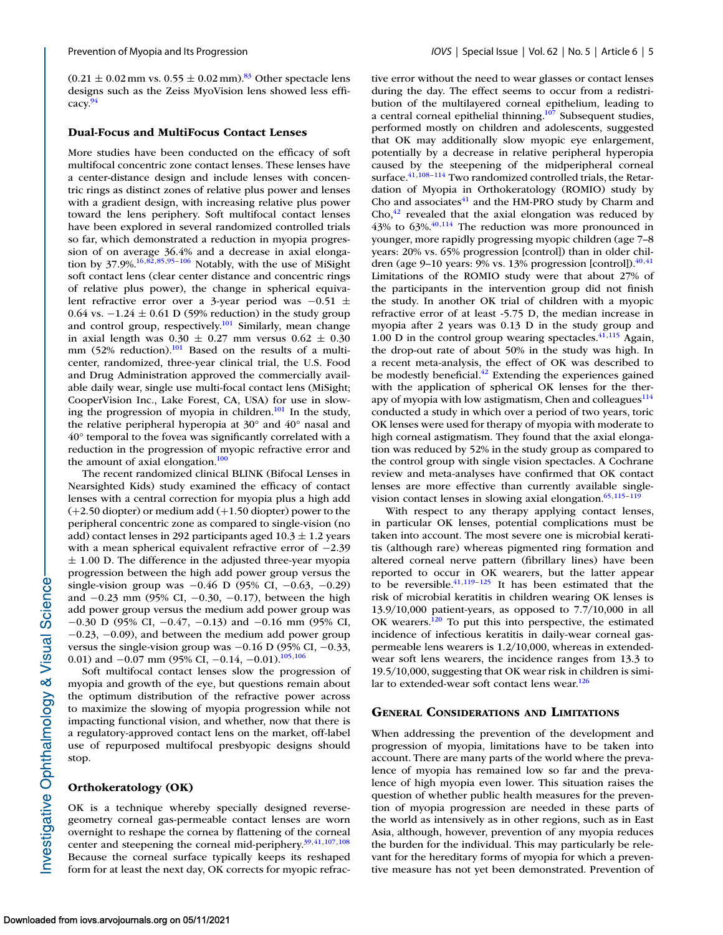$(0.21 \pm 0.02 \text{ mm vs. } 0.55 \pm 0.02 \text{ mm})$ .<sup>83</sup> Other spectacle lens designs such as the Zeiss MyoVision lens showed less efficacy[.94](#page-8-0)

#### **Dual-Focus and MultiFocus Contact Lenses**

More studies have been conducted on the efficacy of soft multifocal concentric zone contact lenses. These lenses have a center-distance design and include lenses with concentric rings as distinct zones of relative plus power and lenses with a gradient design, with increasing relative plus power toward the lens periphery. Soft multifocal contact lenses have been explored in several randomized controlled trials so far, which demonstrated a reduction in myopia progression of on average 36.4% and a decrease in axial elongation by 37.9%[.16](#page-6-0)[,82,85,](#page-7-0)[95–106](#page-8-0) Notably, with the use of MiSight soft contact lens (clear center distance and concentric rings of relative plus power), the change in spherical equivalent refractive error over a 3-year period was −0.51 ± 0.64 vs.  $-1.24 \pm 0.61$  D (59% reduction) in the study group and control group, respectively.<sup>101</sup> Similarly, mean change in axial length was  $0.30 \pm 0.27$  mm versus  $0.62 \pm 0.30$ mm (52% reduction).<sup>101</sup> Based on the results of a multicenter, randomized, three-year clinical trial, the U.S. Food and Drug Administration approved the commercially available daily wear, single use multi-focal contact lens (MiSight; CooperVision Inc., Lake Forest, CA, USA) for use in slowing the progression of myopia in children.<sup>101</sup> In the study, the relative peripheral hyperopia at 30° and 40° nasal and 40° temporal to the fovea was significantly correlated with a reduction in the progression of myopic refractive error and the amount of axial elongation. $100$ 

The recent randomized clinical BLINK (Bifocal Lenses in Nearsighted Kids) study examined the efficacy of contact lenses with a central correction for myopia plus a high add (+2.50 diopter) or medium add (+1.50 diopter) power to the peripheral concentric zone as compared to single-vision (no add) contact lenses in 292 participants aged  $10.3 \pm 1.2$  years with a mean spherical equivalent refractive error of −2.39  $\pm$  1.00 D. The difference in the adjusted three-year myopia progression between the high add power group versus the single-vision group was −0.46 D (95% CI, −0.63, −0.29) and −0.23 mm (95% CI, −0.30, −0.17), between the high add power group versus the medium add power group was −0.30 D (95% CI, −0.47, −0.13) and −0.16 mm (95% CI, −0.23, −0.09), and between the medium add power group versus the single-vision group was  $-0.16$  D (95% CI,  $-0.33$ , 0.01) and  $-0.07$  mm (95% CI,  $-0.14$ ,  $-0.01$ ).<sup>105,106</sup>

Soft multifocal contact lenses slow the progression of myopia and growth of the eye, but questions remain about the optimum distribution of the refractive power across to maximize the slowing of myopia progression while not impacting functional vision, and whether, now that there is a regulatory-approved contact lens on the market, off-label use of repurposed multifocal presbyopic designs should stop.

#### **Orthokeratology (OK)**

OK is a technique whereby specially designed reversegeometry corneal gas-permeable contact lenses are worn overnight to reshape the cornea by flattening of the corneal center and steepening the corneal mid-periphery. $39,41,107,108$  $39,41,107,108$ Because the corneal surface typically keeps its reshaped form for at least the next day, OK corrects for myopic refractive error without the need to wear glasses or contact lenses during the day. The effect seems to occur from a redistribution of the multilayered corneal epithelium, leading to a central corneal epithelial thinning. $107$  Subsequent studies, performed mostly on children and adolescents, suggested that OK may additionally slow myopic eye enlargement, potentially by a decrease in relative peripheral hyperopia caused by the steepening of the midperipheral corneal surface.<sup>41,108-114</sup> Two randomized controlled trials, the Retardation of Myopia in Orthokeratology (ROMIO) study by Cho and associates $41$  and the HM-PRO study by Charm and  $Cho<sub>1</sub><sup>42</sup>$  revealed that the axial elongation was reduced by  $43\%$  to  $63\%$ .<sup>40,[114](#page-8-0)</sup> The reduction was more pronounced in younger, more rapidly progressing myopic children (age 7–8 years: 20% vs. 65% progression [control]) than in older children (age 9–10 years: 9% vs. 13% progression [control]). $^{40,41}$ Limitations of the ROMIO study were that about 27% of the participants in the intervention group did not finish the study. In another OK trial of children with a myopic refractive error of at least -5.75 D, the median increase in myopia after 2 years was 0.13 D in the study group and 1.00 D in the control group wearing spectacles. $41,115$  $41,115$  Again, the drop-out rate of about 50% in the study was high. In a recent meta-analysis, the effect of OK was described to be modestly beneficial.<sup>42</sup> Extending the experiences gained with the application of spherical OK lenses for the therapy of myopia with low astigmatism, Chen and colleagues $^{114}$ conducted a study in which over a period of two years, toric OK lenses were used for therapy of myopia with moderate to high corneal astigmatism. They found that the axial elongation was reduced by 52% in the study group as compared to the control group with single vision spectacles. A Cochrane review and meta-analyses have confirmed that OK contact lenses are more effective than currently available singlevision contact lenses in slowing axial elongation. $65,115-119$ 

With respect to any therapy applying contact lenses, in particular OK lenses, potential complications must be taken into account. The most severe one is microbial keratitis (although rare) whereas pigmented ring formation and altered corneal nerve pattern (fibrillary lines) have been reported to occur in OK wearers, but the latter appear to be reversible. $41,119-125$  It has been estimated that the risk of microbial keratitis in children wearing OK lenses is 13.9/10,000 patient-years, as opposed to 7.7/10,000 in all OK wearers. $120$  To put this into perspective, the estimated incidence of infectious keratitis in daily-wear corneal gaspermeable lens wearers is 1.2/10,000, whereas in extendedwear soft lens wearers, the incidence ranges from 13.3 to 19.5/10,000, suggesting that OK wear risk in children is similar to extended-wear soft contact lens wear.<sup>126</sup>

### **GENERAL CONSIDERATIONS AND LIMITATIONS**

When addressing the prevention of the development and progression of myopia, limitations have to be taken into account. There are many parts of the world where the prevalence of myopia has remained low so far and the prevalence of high myopia even lower. This situation raises the question of whether public health measures for the prevention of myopia progression are needed in these parts of the world as intensively as in other regions, such as in East Asia, although, however, prevention of any myopia reduces the burden for the individual. This may particularly be relevant for the hereditary forms of myopia for which a preventive measure has not yet been demonstrated. Prevention of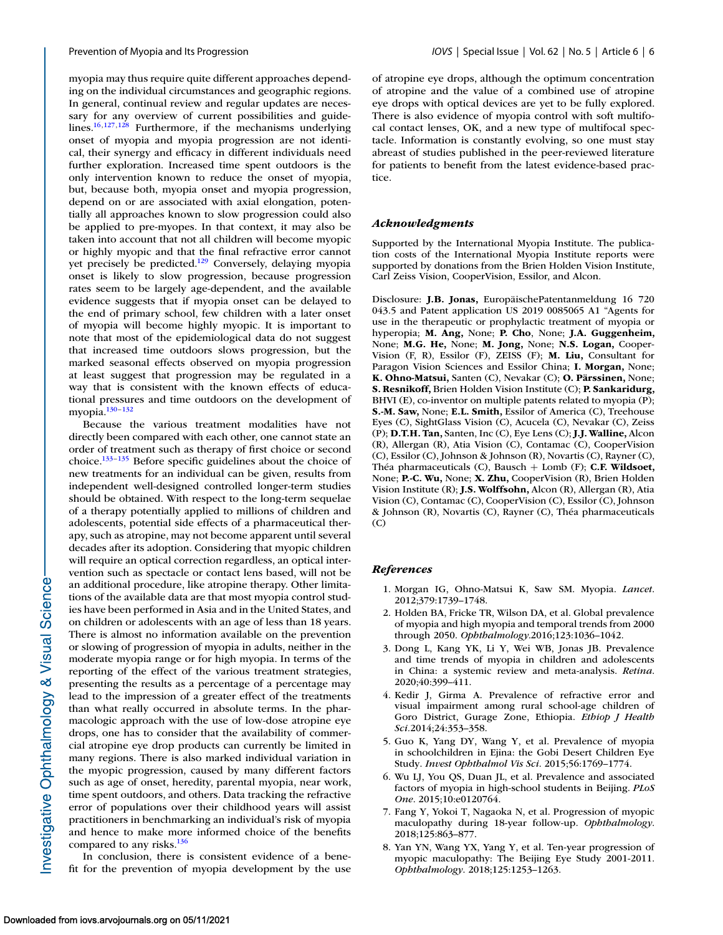<span id="page-5-0"></span>myopia may thus require quite different approaches depending on the individual circumstances and geographic regions. In general, continual review and regular updates are necessary for any overview of current possibilities and guidelines[.16,](#page-6-0)[127,128](#page-9-0) Furthermore, if the mechanisms underlying onset of myopia and myopia progression are not identical, their synergy and efficacy in different individuals need further exploration. Increased time spent outdoors is the only intervention known to reduce the onset of myopia, but, because both, myopia onset and myopia progression, depend on or are associated with axial elongation, potentially all approaches known to slow progression could also be applied to pre-myopes. In that context, it may also be taken into account that not all children will become myopic or highly myopic and that the final refractive error cannot yet precisely be predicted.<sup>129</sup> Conversely, delaying myopia onset is likely to slow progression, because progression rates seem to be largely age-dependent, and the available evidence suggests that if myopia onset can be delayed to the end of primary school, few children with a later onset of myopia will become highly myopic. It is important to note that most of the epidemiological data do not suggest that increased time outdoors slows progression, but the marked seasonal effects observed on myopia progression at least suggest that progression may be regulated in a way that is consistent with the known effects of educational pressures and time outdoors on the development of myopia[.130–132](#page-9-0)

Because the various treatment modalities have not directly been compared with each other, one cannot state an order of treatment such as therapy of first choice or second choice[.133–135](#page-9-0) Before specific guidelines about the choice of new treatments for an individual can be given, results from independent well-designed controlled longer-term studies should be obtained. With respect to the long-term sequelae of a therapy potentially applied to millions of children and adolescents, potential side effects of a pharmaceutical therapy, such as atropine, may not become apparent until several decades after its adoption. Considering that myopic children will require an optical correction regardless, an optical intervention such as spectacle or contact lens based, will not be an additional procedure, like atropine therapy. Other limitations of the available data are that most myopia control studies have been performed in Asia and in the United States, and on children or adolescents with an age of less than 18 years. There is almost no information available on the prevention or slowing of progression of myopia in adults, neither in the moderate myopia range or for high myopia. In terms of the reporting of the effect of the various treatment strategies, presenting the results as a percentage of a percentage may lead to the impression of a greater effect of the treatments than what really occurred in absolute terms. In the pharmacologic approach with the use of low-dose atropine eye drops, one has to consider that the availability of commercial atropine eye drop products can currently be limited in many regions. There is also marked individual variation in the myopic progression, caused by many different factors such as age of onset, heredity, parental myopia, near work, time spent outdoors, and others. Data tracking the refractive error of populations over their childhood years will assist practitioners in benchmarking an individual's risk of myopia and hence to make more informed choice of the benefits compared to any risks. $136$ 

In conclusion, there is consistent evidence of a benefit for the prevention of myopia development by the use of atropine eye drops, although the optimum concentration of atropine and the value of a combined use of atropine eye drops with optical devices are yet to be fully explored. There is also evidence of myopia control with soft multifocal contact lenses, OK, and a new type of multifocal spectacle. Information is constantly evolving, so one must stay abreast of studies published in the peer-reviewed literature for patients to benefit from the latest evidence-based practice.

#### *Acknowledgments*

Supported by the International Myopia Institute. The publication costs of the International Myopia Institute reports were supported by donations from the Brien Holden Vision Institute, Carl Zeiss Vision, CooperVision, Essilor, and Alcon.

Disclosure: **J.B. Jonas,** EuropäischePatentanmeldung 16 720 043.5 and Patent application US 2019 0085065 A1 "Agents for use in the therapeutic or prophylactic treatment of myopia or hyperopia; **M. Ang,** None; **P. Cho**, None; **J.A. Guggenheim,** None; **M.G. He,** None; **M. Jong,** None; **N.S. Logan,** Cooper-Vision (F, R), Essilor (F), ZEISS (F); **M. Liu,** Consultant for Paragon Vision Sciences and Essilor China; **I. Morgan,** None; **K. Ohno-Matsui,** Santen (C), Nevakar (C); **O. Pärssinen,** None; **S. Resnikoff,** Brien Holden Vision Institute (C); **P. Sankaridurg,** BHVI (E), co-inventor on multiple patents related to myopia (P); **S.-M. Saw,** None; **E.L. Smith,** Essilor of America (C), Treehouse Eyes (C), SightGlass Vision (C), Acucela (C), Nevakar (C), Zeiss (P); **D.T.H. Tan,** Santen, Inc (C), Eye Lens (C); **J.J. Walline,** Alcon (R), Allergan (R), Atia Vision (C), Contamac (C), CooperVision (C), Essilor (C), Johnson & Johnson (R), Novartis (C), Rayner (C), Théa pharmaceuticals (C), Bausch + Lomb (F); **C.F. Wildsoet,** None; **P.-C. Wu,** None; **X. Zhu,** CooperVision (R), Brien Holden Vision Institute (R); **J.S. Wolffsohn,** Alcon (R), Allergan (R), Atia Vision (C), Contamac (C), CooperVision (C), Essilor (C), Johnson & Johnson (R), Novartis (C), Rayner (C), Théa pharmaceuticals (C)

#### *References*

- 1. Morgan IG, Ohno-Matsui K, Saw SM. Myopia. *Lancet*. 2012;379:1739–1748.
- 2. Holden BA, Fricke TR, Wilson DA, et al. Global prevalence of myopia and high myopia and temporal trends from 2000 through 2050. *Ophthalmology*.2016;123:1036–1042.
- 3. Dong L, Kang YK, Li Y, Wei WB, Jonas JB. Prevalence and time trends of myopia in children and adolescents in China: a systemic review and meta-analysis. *Retina*. 2020;40:399–411.
- 4. Kedir J, Girma A. Prevalence of refractive error and visual impairment among rural school-age children of Goro District, Gurage Zone, Ethiopia. *Ethiop J Health Sci.*2014;24:353–358.
- 5. Guo K, Yang DY, Wang Y, et al. Prevalence of myopia in schoolchildren in Ejina: the Gobi Desert Children Eye Study. *Invest Ophthalmol Vis Sci*. 2015;56:1769–1774.
- 6. Wu LJ, You QS, Duan JL, et al. Prevalence and associated factors of myopia in high-school students in Beijing. *PLoS One*. 2015;10:e0120764.
- 7. Fang Y, Yokoi T, Nagaoka N, et al. Progression of myopic maculopathy during 18-year follow-up. *Ophthalmology*. 2018;125:863–877.
- 8. Yan YN, Wang YX, Yang Y, et al. Ten-year progression of myopic maculopathy: The Beijing Eye Study 2001-2011. *Ophthalmology*. 2018;125:1253–1263.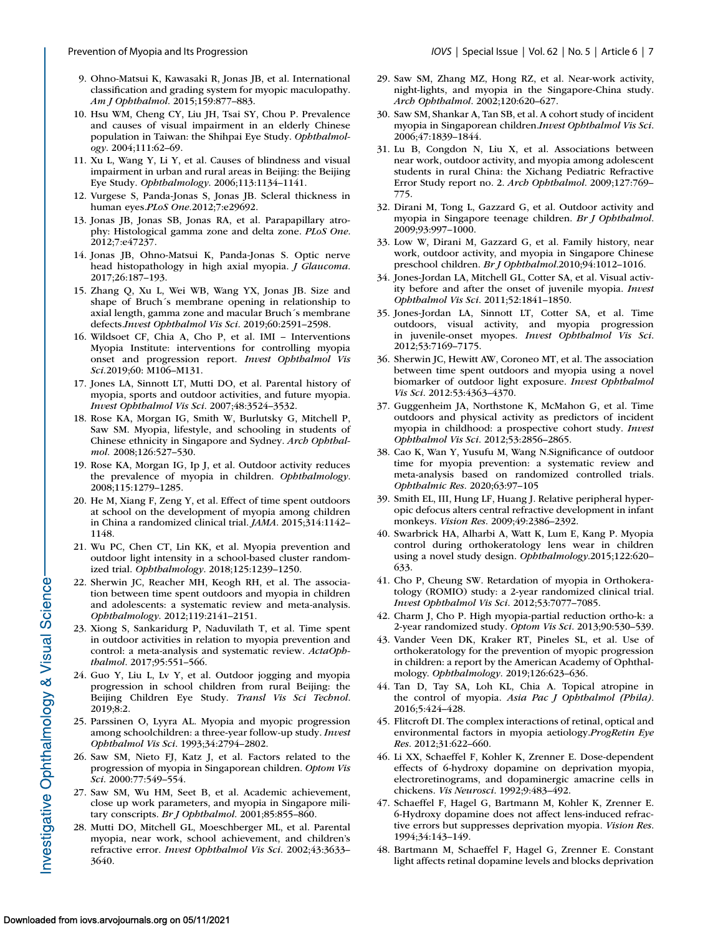- <span id="page-6-0"></span>9. Ohno-Matsui K, Kawasaki R, Jonas JB, et al. International classification and grading system for myopic maculopathy. *Am J Ophthalmol*. 2015;159:877–883.
- 10. Hsu WM, Cheng CY, Liu JH, Tsai SY, Chou P. Prevalence and causes of visual impairment in an elderly Chinese population in Taiwan: the Shihpai Eye Study. *Ophthalmology*. 2004;111:62–69.
- 11. Xu L, Wang Y, Li Y, et al. Causes of blindness and visual impairment in urban and rural areas in Beijing: the Beijing Eye Study. *Ophthalmology*. 2006;113:1134–1141.
- 12. Vurgese S, Panda-Jonas S, Jonas JB. Scleral thickness in human eyes.*PLoS One.*2012;7:e29692.
- 13. Jonas JB, Jonas SB, Jonas RA, et al. Parapapillary atrophy: Histological gamma zone and delta zone. *PLoS One*. 2012;7:e47237.
- 14. Jonas JB, Ohno-Matsui K, Panda-Jonas S. Optic nerve head histopathology in high axial myopia. *J Glaucoma*. 2017;26:187–193.
- 15. Zhang Q, Xu L, Wei WB, Wang YX, Jonas JB. Size and shape of Bruch´s membrane opening in relationship to axial length, gamma zone and macular Bruch´s membrane defects.*Invest Ophthalmol Vis Sci*. 2019;60:2591–2598.
- 16. Wildsoet CF, Chia A, Cho P, et al. IMI Interventions Myopia Institute: interventions for controlling myopia onset and progression report. *Invest Ophthalmol Vis Sci.*2019;60: M106–M131.
- 17. Jones LA, Sinnott LT, Mutti DO, et al. Parental history of myopia, sports and outdoor activities, and future myopia. *Invest Ophthalmol Vis Sci*. 2007;48:3524–3532.
- 18. Rose KA, Morgan IG, Smith W, Burlutsky G, Mitchell P, Saw SM. Myopia, lifestyle, and schooling in students of Chinese ethnicity in Singapore and Sydney. *Arch Ophthalmol.* 2008;126:527–530.
- 19. Rose KA, Morgan IG, Ip J, et al. Outdoor activity reduces the prevalence of myopia in children. *Ophthalmology*. 2008;115:1279–1285.
- 20. He M, Xiang F, Zeng Y, et al. Effect of time spent outdoors at school on the development of myopia among children in China a randomized clinical trial. *JAMA*. 2015;314:1142– 1148.
- 21. Wu PC, Chen CT, Lin KK, et al. Myopia prevention and outdoor light intensity in a school-based cluster randomized trial. *Ophthalmology*. 2018;125:1239–1250.
- 22. Sherwin JC, Reacher MH, Keogh RH, et al. The association between time spent outdoors and myopia in children and adolescents: a systematic review and meta-analysis. *Ophthalmology*. 2012;119:2141–2151.
- 23. Xiong S, Sankaridurg P, Naduvilath T, et al. Time spent in outdoor activities in relation to myopia prevention and control: a meta-analysis and systematic review. *ActaOphthalmol*. 2017;95:551–566.
- 24. Guo Y, Liu L, Lv Y, et al. Outdoor jogging and myopia progression in school children from rural Beijing: the Beijing Children Eye Study. *Transl Vis Sci Technol*. 2019;8:2.
- 25. Parssinen O, Lyyra AL. Myopia and myopic progression among schoolchildren: a three-year follow-up study. *Invest Ophthalmol Vis Sci*. 1993;34:2794–2802.
- 26. Saw SM, Nieto FJ, Katz J, et al. Factors related to the progression of myopia in Singaporean children. *Optom Vis Sci*. 2000:77:549–554.
- 27. Saw SM, Wu HM, Seet B, et al. Academic achievement, close up work parameters, and myopia in Singapore military conscripts. *Br J Ophthalmol*. 2001;85:855–860.
- 28. Mutti DO, Mitchell GL, Moeschberger ML, et al. Parental myopia, near work, school achievement, and children's refractive error. *Invest Ophthalmol Vis Sci*. 2002;43:3633– 3640.
- 29. Saw SM, Zhang MZ, Hong RZ, et al. Near-work activity, night-lights, and myopia in the Singapore-China study. *Arch Ophthalmol*. 2002;120:620–627.
- 30. Saw SM, Shankar A, Tan SB, et al. A cohort study of incident myopia in Singaporean children.*Invest Ophthalmol Vis Sci*. 2006;47:1839–1844.
- 31. Lu B, Congdon N, Liu X, et al. Associations between near work, outdoor activity, and myopia among adolescent students in rural China: the Xichang Pediatric Refractive Error Study report no. 2. *Arch Ophthalmol*. 2009;127:769– 775.
- 32. Dirani M, Tong L, Gazzard G, et al. Outdoor activity and myopia in Singapore teenage children. *Br J Ophthalmol*. 2009;93:997–1000.
- 33. Low W, Dirani M, Gazzard G, et al. Family history, near work, outdoor activity, and myopia in Singapore Chinese preschool children. *Br J Ophthalmol*.2010;94:1012–1016.
- 34. Jones-Jordan LA, Mitchell GL, Cotter SA, et al. Visual activity before and after the onset of juvenile myopia. *Invest Ophthalmol Vis Sci*. 2011;52:1841–1850.
- 35. Jones-Jordan LA, Sinnott LT, Cotter SA, et al. Time outdoors, visual activity, and myopia progression in juvenile-onset myopes. *Invest Ophthalmol Vis Sci*. 2012;53:7169–7175.
- 36. Sherwin JC, Hewitt AW, Coroneo MT, et al. The association between time spent outdoors and myopia using a novel biomarker of outdoor light exposure. *Invest Ophthalmol Vis Sci*. 2012:53:4363–4370.
- 37. Guggenheim JA, Northstone K, McMahon G, et al. Time outdoors and physical activity as predictors of incident myopia in childhood: a prospective cohort study. *Invest Ophthalmol Vis Sci*. 2012;53:2856–2865.
- 38. Cao K, Wan Y, Yusufu M, Wang N.Significance of outdoor time for myopia prevention: a systematic review and meta-analysis based on randomized controlled trials. *Ophthalmic Res*. 2020;63:97–105
- 39. Smith EL, III, Hung LF, Huang J. Relative peripheral hyperopic defocus alters central refractive development in infant monkeys. *Vision Res*. 2009;49:2386–2392.
- 40. Swarbrick HA, Alharbi A, Watt K, Lum E, Kang P. Myopia control during orthokeratology lens wear in children using a novel study design. *Ophthalmology*.2015;122:620– 633.
- 41. Cho P, Cheung SW. Retardation of myopia in Orthokeratology (ROMIO) study: a 2-year randomized clinical trial. *Invest Ophthalmol Vis Sci*. 2012;53:7077–7085.
- 42. Charm J, Cho P. High myopia-partial reduction ortho-k: a 2-year randomized study. *Optom Vis Sci*. 2013;90:530–539.
- 43. Vander Veen DK, Kraker RT, Pineles SL, et al. Use of orthokeratology for the prevention of myopic progression in children: a report by the American Academy of Ophthalmology. *Ophthalmology*. 2019;126:623–636.
- 44. Tan D, Tay SA, Loh KL, Chia A. Topical atropine in the control of myopia. *Asia Pac J Ophthalmol (Phila)*. 2016;5:424–428.
- 45. Flitcroft DI. The complex interactions of retinal, optical and environmental factors in myopia aetiology.*ProgRetin Eye Res*. 2012;31:622–660.
- 46. Li XX, Schaeffel F, Kohler K, Zrenner E. Dose-dependent effects of 6-hydroxy dopamine on deprivation myopia, electroretinograms, and dopaminergic amacrine cells in chickens. *Vis Neurosci*. 1992;9:483–492.
- 47. Schaeffel F, Hagel G, Bartmann M, Kohler K, Zrenner E. 6-Hydroxy dopamine does not affect lens-induced refractive errors but suppresses deprivation myopia. *Vision Res*. 1994;34:143–149.
- 48. Bartmann M, Schaeffel F, Hagel G, Zrenner E. Constant light affects retinal dopamine levels and blocks deprivation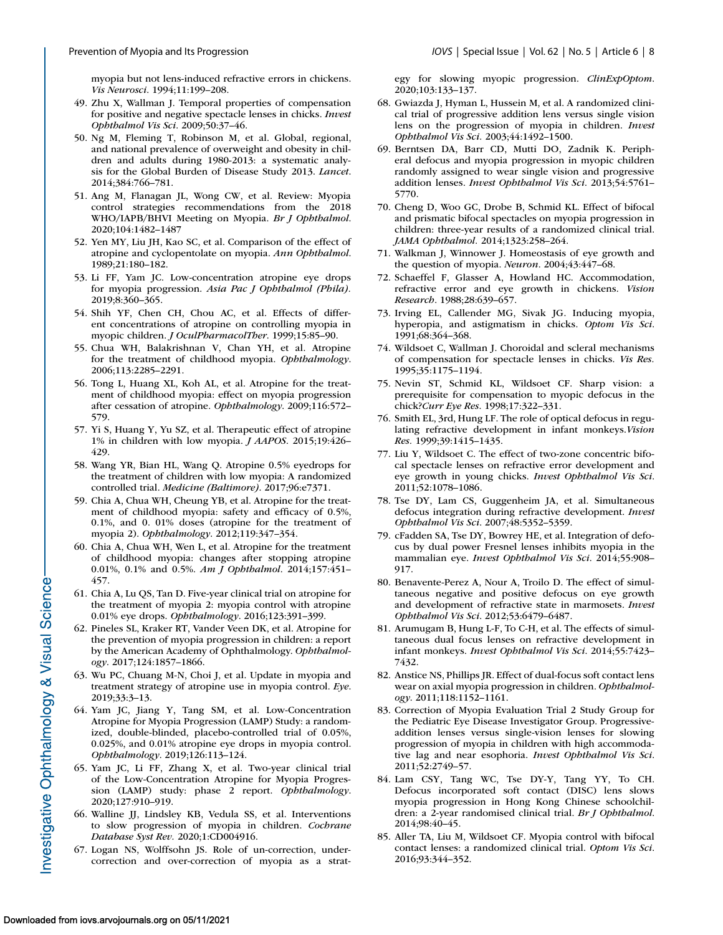<span id="page-7-0"></span>myopia but not lens-induced refractive errors in chickens. *Vis Neurosci*. 1994;11:199–208.

- 49. Zhu X, Wallman J. Temporal properties of compensation for positive and negative spectacle lenses in chicks. *Invest Ophthalmol Vis Sci*. 2009;50:37–46.
- 50. Ng M, Fleming T, Robinson M, et al. Global, regional, and national prevalence of overweight and obesity in children and adults during 1980-2013: a systematic analysis for the Global Burden of Disease Study 2013. *Lancet*. 2014;384:766–781.
- 51. Ang M, Flanagan JL, Wong CW, et al. Review: Myopia control strategies recommendations from the 2018 WHO/IAPB/BHVI Meeting on Myopia. *Br J Ophthalmol*. 2020;104:1482–1487
- 52. Yen MY, Liu JH, Kao SC, et al. Comparison of the effect of atropine and cyclopentolate on myopia. *Ann Ophthalmol*. 1989;21:180–182.
- 53. Li FF, Yam JC. Low-concentration atropine eye drops for myopia progression. *Asia Pac J Ophthalmol (Phila).* 2019;8:360–365.
- 54. Shih YF, Chen CH, Chou AC, et al. Effects of different concentrations of atropine on controlling myopia in myopic children. *J OculPharmacolTher*. 1999;15:85–90.
- 55. Chua WH, Balakrishnan V, Chan YH, et al. Atropine for the treatment of childhood myopia. *Ophthalmology*. 2006;113:2285–2291.
- 56. Tong L, Huang XL, Koh AL, et al. Atropine for the treatment of childhood myopia: effect on myopia progression after cessation of atropine. *Ophthalmology*. 2009;116:572– 579.
- 57. Yi S, Huang Y, Yu SZ, et al. Therapeutic effect of atropine 1% in children with low myopia. *J AAPOS*. 2015;19:426– 429.
- 58. Wang YR, Bian HL, Wang Q. Atropine 0.5% eyedrops for the treatment of children with low myopia: A randomized controlled trial. *Medicine (Baltimore)*. 2017;96:e7371.
- 59. Chia A, Chua WH, Cheung YB, et al. Atropine for the treatment of childhood myopia: safety and efficacy of 0.5%, 0.1%, and 0. 01% doses (atropine for the treatment of myopia 2). *Ophthalmology*. 2012;119:347–354.
- 60. Chia A, Chua WH, Wen L, et al. Atropine for the treatment of childhood myopia: changes after stopping atropine 0.01%, 0.1% and 0.5%. *Am J Ophthalmol*. 2014;157:451– 457.
- 61. Chia A, Lu QS, Tan D. Five-year clinical trial on atropine for the treatment of myopia 2: myopia control with atropine 0.01% eye drops. *Ophthalmology*. 2016;123:391–399.
- 62. Pineles SL, Kraker RT, Vander Veen DK, et al. Atropine for the prevention of myopia progression in children: a report by the American Academy of Ophthalmology. *Ophthalmology*. 2017;124:1857–1866.
- 63. Wu PC, Chuang M-N, Choi J, et al. Update in myopia and treatment strategy of atropine use in myopia control. *Eye*. 2019;33:3–13.
- 64. Yam JC, Jiang Y, Tang SM, et al. Low-Concentration Atropine for Myopia Progression (LAMP) Study: a randomized, double-blinded, placebo-controlled trial of 0.05%, 0.025%, and 0.01% atropine eye drops in myopia control. *Ophthalmology*. 2019;126:113–124.
- 65. Yam JC, Li FF, Zhang X, et al. Two-year clinical trial of the Low-Concentration Atropine for Myopia Progression (LAMP) study: phase 2 report. *Ophthalmology*. 2020;127:910–919.
- 66. Walline JJ, Lindsley KB, Vedula SS, et al. Interventions to slow progression of myopia in children. *Cochrane Database Syst Rev.* 2020;1:CD004916.
- 67. Logan NS, Wolffsohn JS. Role of un-correction, undercorrection and over-correction of myopia as a strat-

egy for slowing myopic progression. *ClinExpOptom*. 2020;103:133–137.

- 68. Gwiazda J, Hyman L, Hussein M, et al. A randomized clinical trial of progressive addition lens versus single vision lens on the progression of myopia in children. *Invest Ophthalmol Vis Sci.* 2003;44:1492–1500.
- 69. Berntsen DA, Barr CD, Mutti DO, Zadnik K. Peripheral defocus and myopia progression in myopic children randomly assigned to wear single vision and progressive addition lenses. *Invest Ophthalmol Vis Sci*. 2013;54:5761– 5770.
- 70. Cheng D, Woo GC, Drobe B, Schmid KL. Effect of bifocal and prismatic bifocal spectacles on myopia progression in children: three-year results of a randomized clinical trial. *JAMA Ophthalmol.* 2014;1323:258–264.
- 71. Walkman J, Winnower J. Homeostasis of eye growth and the question of myopia. *Neuron*. 2004;43:447–68.
- 72. Schaeffel F, Glasser A, Howland HC. Accommodation, refractive error and eye growth in chickens. *Vision Research*. 1988;28:639–657.
- 73. Irving EL, Callender MG, Sivak JG. Inducing myopia, hyperopia, and astigmatism in chicks. *Optom Vis Sci*. 1991;68:364–368.
- 74. Wildsoet C, Wallman J. Choroidal and scleral mechanisms of compensation for spectacle lenses in chicks. *Vis Res.* 1995;35:1175–1194.
- 75. Nevin ST, Schmid KL, Wildsoet CF. Sharp vision: a prerequisite for compensation to myopic defocus in the chick?*Curr Eye Res*. 1998;17:322–331.
- 76. Smith EL, 3rd, Hung LF. The role of optical defocus in regulating refractive development in infant monkeys.*Vision Res.* 1999;39:1415–1435.
- 77. Liu Y, Wildsoet C. The effect of two-zone concentric bifocal spectacle lenses on refractive error development and eye growth in young chicks. *Invest Ophthalmol Vis Sci*. 2011;52:1078–1086.
- 78. Tse DY, Lam CS, Guggenheim JA, et al. Simultaneous defocus integration during refractive development. *Invest Ophthalmol Vis Sci*. 2007;48:5352–5359.
- 79. cFadden SA, Tse DY, Bowrey HE, et al. Integration of defocus by dual power Fresnel lenses inhibits myopia in the mammalian eye. *Invest Ophthalmol Vis Sci*. 2014;55:908– 917.
- 80. Benavente-Perez A, Nour A, Troilo D. The effect of simultaneous negative and positive defocus on eye growth and development of refractive state in marmosets. *Invest Ophthalmol Vis Sci*. 2012;53:6479–6487.
- 81. Arumugam B, Hung L-F, To C-H, et al. The effects of simultaneous dual focus lenses on refractive development in infant monkeys. *Invest Ophthalmol Vis Sci*. 2014;55:7423– 7432.
- 82. Anstice NS, Phillips JR. Effect of dual-focus soft contact lens wear on axial myopia progression in children. *Ophthalmology*. 2011;118:1152–1161.
- 83. Correction of Myopia Evaluation Trial 2 Study Group for the Pediatric Eye Disease Investigator Group. Progressiveaddition lenses versus single-vision lenses for slowing progression of myopia in children with high accommodative lag and near esophoria. *Invest Ophthalmol Vis Sci*. 2011;52:2749–57.
- 84. Lam CSY, Tang WC, Tse DY-Y, Tang YY, To CH. Defocus incorporated soft contact (DISC) lens slows myopia progression in Hong Kong Chinese schoolchildren: a 2-year randomised clinical trial. *Br J Ophthalmol*. 2014;98:40–45.
- 85. Aller TA, Liu M, Wildsoet CF. Myopia control with bifocal contact lenses: a randomized clinical trial. *Optom Vis Sci*. 2016;93:344–352.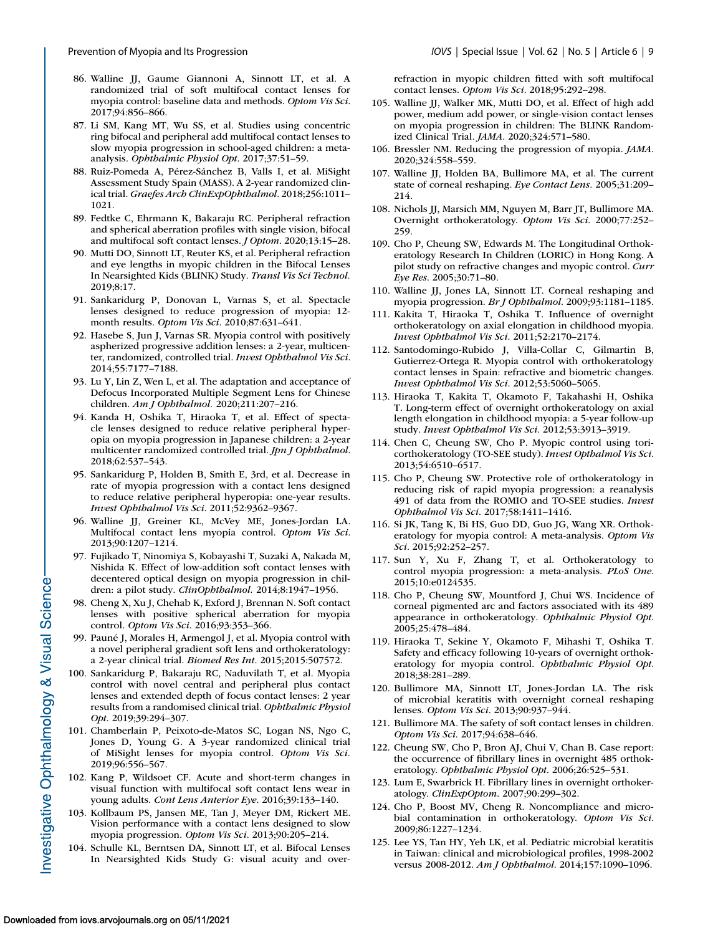- <span id="page-8-0"></span>86. Walline JJ, Gaume Giannoni A, Sinnott LT, et al. A randomized trial of soft multifocal contact lenses for myopia control: baseline data and methods. *Optom Vis Sci*. 2017;94:856–866.
- 87. Li SM, Kang MT, Wu SS, et al. Studies using concentric ring bifocal and peripheral add multifocal contact lenses to slow myopia progression in school-aged children: a metaanalysis. *Ophthalmic Physiol Opt*. 2017;37:51–59.
- 88. Ruiz-Pomeda A, Pérez-Sánchez B, Valls I, et al. MiSight Assessment Study Spain (MASS). A 2-year randomized clinical trial. *Graefes Arch ClinExpOphthalmol*. 2018;256:1011– 1021.
- 89. Fedtke C, Ehrmann K, Bakaraju RC. Peripheral refraction and spherical aberration profiles with single vision, bifocal and multifocal soft contact lenses. *J Optom*. 2020;13:15–28.
- 90. Mutti DO, Sinnott LT, Reuter KS, et al. Peripheral refraction and eye lengths in myopic children in the Bifocal Lenses In Nearsighted Kids (BLINK) Study. *Transl Vis Sci Technol.* 2019;8:17.
- 91. Sankaridurg P, Donovan L, Varnas S, et al. Spectacle lenses designed to reduce progression of myopia: 12 month results. *Optom Vis Sci*. 2010;87:631–641.
- 92. Hasebe S, Jun J, Varnas SR. Myopia control with positively aspherized progressive addition lenses: a 2-year, multicenter, randomized, controlled trial. *Invest Ophthalmol Vis Sci*. 2014;55:7177–7188.
- 93. Lu Y, Lin Z, Wen L, et al. The adaptation and acceptance of Defocus Incorporated Multiple Segment Lens for Chinese children. *Am J Ophthalmol.* 2020;211:207–216.
- 94. Kanda H, Oshika T, Hiraoka T, et al. Effect of spectacle lenses designed to reduce relative peripheral hyperopia on myopia progression in Japanese children: a 2-year multicenter randomized controlled trial. *Jpn J Ophthalmol*. 2018;62:537–543.
- 95. Sankaridurg P, Holden B, Smith E, 3rd, et al. Decrease in rate of myopia progression with a contact lens designed to reduce relative peripheral hyperopia: one-year results. *Invest Ophthalmol Vis Sci*. 2011;52:9362–9367.
- 96. Walline JJ, Greiner KL, McVey ME, Jones-Jordan LA. Multifocal contact lens myopia control. *Optom Vis Sci*. 2013;90:1207–1214.
- 97. Fujikado T, Ninomiya S, Kobayashi T, Suzaki A, Nakada M, Nishida K. Effect of low-addition soft contact lenses with decentered optical design on myopia progression in children: a pilot study. *ClinOphthalmol.* 2014;8:1947–1956.
- 98. Cheng X, Xu J, Chehab K, Exford J, Brennan N. Soft contact lenses with positive spherical aberration for myopia control. *Optom Vis Sci*. 2016;93:353–366.
- 99. Pauné J, Morales H, Armengol J, et al. Myopia control with a novel peripheral gradient soft lens and orthokeratology: a 2-year clinical trial. *Biomed Res Int*. 2015;2015:507572.
- 100. Sankaridurg P, Bakaraju RC, Naduvilath T, et al. Myopia control with novel central and peripheral plus contact lenses and extended depth of focus contact lenses: 2 year results from a randomised clinical trial. *Ophthalmic Physiol Opt*. 2019;39:294–307.
- 101. Chamberlain P, Peixoto-de-Matos SC, Logan NS, Ngo C, Jones D, Young G. A 3-year randomized clinical trial of MiSight lenses for myopia control. *Optom Vis Sci.* 2019;96:556–567.
- 102. Kang P, Wildsoet CF. Acute and short-term changes in visual function with multifocal soft contact lens wear in young adults. *Cont Lens Anterior Eye*. 2016;39:133–140.
- 103. Kollbaum PS, Jansen ME, Tan J, Meyer DM, Rickert ME. Vision performance with a contact lens designed to slow myopia progression. *Optom Vis Sci*. 2013;90:205–214.
- 104. Schulle KL, Berntsen DA, Sinnott LT, et al. Bifocal Lenses In Nearsighted Kids Study G: visual acuity and over-

refraction in myopic children fitted with soft multifocal contact lenses. *Optom Vis Sci*. 2018;95:292–298.

- 105. Walline JJ, Walker MK, Mutti DO, et al. Effect of high add power, medium add power, or single-vision contact lenses on myopia progression in children: The BLINK Randomized Clinical Trial. *JAMA*. 2020;324:571–580.
- 106. Bressler NM. Reducing the progression of myopia. *JAMA*. 2020;324:558–559.
- 107. Walline JJ, Holden BA, Bullimore MA, et al. The current state of corneal reshaping. *Eye Contact Lens.* 2005;31:209– 214.
- 108. Nichols JJ, Marsich MM, Nguyen M, Barr JT, Bullimore MA. Overnight orthokeratology. *Optom Vis Sci*. 2000;77:252– 259.
- 109. Cho P, Cheung SW, Edwards M. The Longitudinal Orthokeratology Research In Children (LORIC) in Hong Kong. A pilot study on refractive changes and myopic control. *Curr Eye Res*. 2005;30:71–80.
- 110. Walline JJ, Jones LA, Sinnott LT. Corneal reshaping and myopia progression. *Br J Ophthalmol*. 2009;93:1181–1185.
- 111. Kakita T, Hiraoka T, Oshika T. Influence of overnight orthokeratology on axial elongation in childhood myopia. *Invest Ophthalmol Vis Sci*. 2011;52:2170–2174.
- 112. Santodomingo-Rubido J, Villa-Collar C, Gilmartin B, Gutierrez-Ortega R. Myopia control with orthokeratology contact lenses in Spain: refractive and biometric changes. *Invest Ophthalmol Vis Sci*. 2012;53:5060–5065.
- 113. Hiraoka T, Kakita T, Okamoto F, Takahashi H, Oshika T. Long-term effect of overnight orthokeratology on axial length elongation in childhood myopia: a 5-year follow-up study. *Invest Ophthalmol Vis Sci*. 2012;53:3913–3919.
- 114. Chen C, Cheung SW, Cho P. Myopic control using toricorthokeratology (TO-SEE study). *Invest Opthalmol Vis Sci*. 2013;54:6510–6517.
- 115. Cho P, Cheung SW. Protective role of orthokeratology in reducing risk of rapid myopia progression: a reanalysis 491 of data from the ROMIO and TO-SEE studies. *Invest Ophthalmol Vis Sci*. 2017;58:1411–1416.
- 116. Si JK, Tang K, Bi HS, Guo DD, Guo JG, Wang XR. Orthokeratology for myopia control: A meta-analysis. *Optom Vis Sci*. 2015;92:252–257.
- 117. Sun Y, Xu F, Zhang T, et al. Orthokeratology to control myopia progression: a meta-analysis. *PLoS One*. 2015;10:e0124535.
- 118. Cho P, Cheung SW, Mountford J, Chui WS. Incidence of corneal pigmented arc and factors associated with its 489 appearance in orthokeratology. *Ophthalmic Physiol Opt*. 2005;25:478–484.
- 119. Hiraoka T, Sekine Y, Okamoto F, Mihashi T, Oshika T. Safety and efficacy following 10-years of overnight orthokeratology for myopia control. *Ophthalmic Physiol Opt*. 2018;38:281–289.
- 120. Bullimore MA, Sinnott LT, Jones-Jordan LA. The risk of microbial keratitis with overnight corneal reshaping lenses. *Optom Vis Sci*. 2013;90:937–944.
- 121. Bullimore MA. The safety of soft contact lenses in children. *Optom Vis Sci*. 2017;94:638–646.
- 122. Cheung SW, Cho P, Bron AJ, Chui V, Chan B. Case report: the occurrence of fibrillary lines in overnight 485 orthokeratology. *Ophthalmic Physiol Opt*. 2006;26:525–531.
- 123. Lum E, Swarbrick H. Fibrillary lines in overnight orthokeratology. *ClinExpOptom*. 2007;90:299–302.
- 124. Cho P, Boost MV, Cheng R. Noncompliance and microbial contamination in orthokeratology. *Optom Vis Sci*. 2009;86:1227–1234.
- 125. Lee YS, Tan HY, Yeh LK, et al. Pediatric microbial keratitis in Taiwan: clinical and microbiological profiles, 1998-2002 versus 2008-2012. *Am J Ophthalmol*. 2014;157:1090–1096.